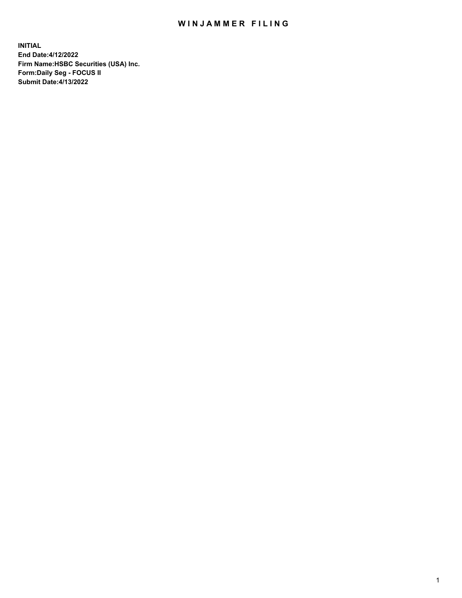## WIN JAMMER FILING

**INITIAL End Date:4/12/2022 Firm Name:HSBC Securities (USA) Inc. Form:Daily Seg - FOCUS II Submit Date:4/13/2022**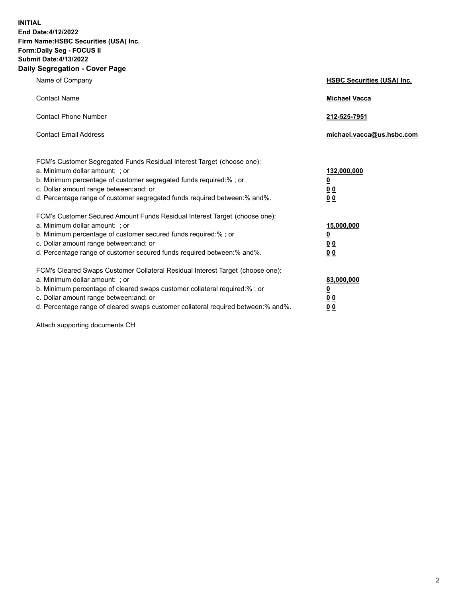**INITIAL End Date:4/12/2022 Firm Name:HSBC Securities (USA) Inc. Form:Daily Seg - FOCUS II Submit Date:4/13/2022 Daily Segregation - Cover Page**

| Name of Company                                                                                                                                                                                                                                                                                                                | <b>HSBC Securities (USA) Inc.</b>                          |
|--------------------------------------------------------------------------------------------------------------------------------------------------------------------------------------------------------------------------------------------------------------------------------------------------------------------------------|------------------------------------------------------------|
| <b>Contact Name</b>                                                                                                                                                                                                                                                                                                            | <b>Michael Vacca</b>                                       |
| <b>Contact Phone Number</b>                                                                                                                                                                                                                                                                                                    | 212-525-7951                                               |
| <b>Contact Email Address</b>                                                                                                                                                                                                                                                                                                   | michael.vacca@us.hsbc.com                                  |
| FCM's Customer Segregated Funds Residual Interest Target (choose one):<br>a. Minimum dollar amount: ; or<br>b. Minimum percentage of customer segregated funds required:%; or<br>c. Dollar amount range between: and; or<br>d. Percentage range of customer segregated funds required between: % and %.                        | 132,000,000<br><u>0</u><br>00<br>0 <sub>0</sub>            |
| FCM's Customer Secured Amount Funds Residual Interest Target (choose one):<br>a. Minimum dollar amount: ; or<br>b. Minimum percentage of customer secured funds required:%; or<br>c. Dollar amount range between: and; or<br>d. Percentage range of customer secured funds required between: % and %.                          | 15,000,000<br><u>0</u><br>0 <sub>0</sub><br>0 <sub>0</sub> |
| FCM's Cleared Swaps Customer Collateral Residual Interest Target (choose one):<br>a. Minimum dollar amount: ; or<br>b. Minimum percentage of cleared swaps customer collateral required:% ; or<br>c. Dollar amount range between: and; or<br>d. Percentage range of cleared swaps customer collateral required between:% and%. | 83,000,000<br><u>0</u><br><u>00</u><br>00                  |

Attach supporting documents CH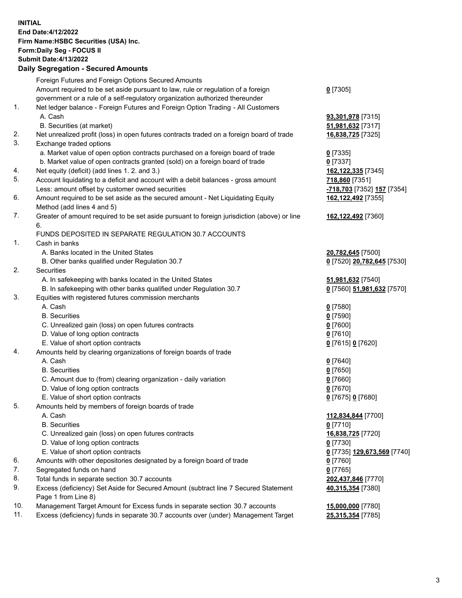**INITIAL End Date:4/12/2022 Firm Name:HSBC Securities (USA) Inc. Form:Daily Seg - FOCUS II Submit Date:4/13/2022 Daily Segregation - Secured Amounts** Foreign Futures and Foreign Options Secured Amounts

Amount required to be set aside pursuant to law, rule or regulation of a foreign

government or a rule of a self-regulatory organization authorized thereunder

## 1. Net ledger balance - Foreign Futures and Foreign Option Trading - All Customers A. Cash **93,301,978** [7315]

- B. Securities (at market) **51,981,632** [7317]
- 2. Net unrealized profit (loss) in open futures contracts traded on a foreign board of trade **16,838,725** [7325]
- 3. Exchange traded options
	- a. Market value of open option contracts purchased on a foreign board of trade **0** [7335] b. Market value of open contracts granted (sold) on a foreign board of trade **0** [7337]
- 4. Net equity (deficit) (add lines 1. 2. and 3.) **162,122,335** [7345]
- 5. Account liquidating to a deficit and account with a debit balances gross amount **718,860** [7351] Less: amount offset by customer owned securities **-718,703** [7352] **157** [7354]
- 6. Amount required to be set aside as the secured amount Net Liquidating Equity Method (add lines 4 and 5)
- 7. Greater of amount required to be set aside pursuant to foreign jurisdiction (above) or line 6.

## FUNDS DEPOSITED IN SEPARATE REGULATION 30.7 ACCOUNTS

- 1. Cash in banks
	- A. Banks located in the United States **20,782,645** [7500]
	- B. Other banks qualified under Regulation 30.7 **0** [7520] **20,782,645** [7530]
- 2. Securities
	- A. In safekeeping with banks located in the United States **51,981,632** [7540]
	- B. In safekeeping with other banks qualified under Regulation 30.7 **0** [7560] **51,981,632** [7570]
- 3. Equities with registered futures commission merchants
	- A. Cash **0** [7580]
	- B. Securities **0** [7590]
	- C. Unrealized gain (loss) on open futures contracts **0** [7600]
	- D. Value of long option contracts **0** [7610]
	- E. Value of short option contracts **0** [7615] **0** [7620]
- 4. Amounts held by clearing organizations of foreign boards of trade
	- A. Cash **0** [7640]
	- B. Securities **0** [7650]
	- C. Amount due to (from) clearing organization daily variation **0** [7660]
	- D. Value of long option contracts **0** [7670]
	- E. Value of short option contracts **0** [7675] **0** [7680]
- 5. Amounts held by members of foreign boards of trade
	-
	- B. Securities **0** [7710]
	- C. Unrealized gain (loss) on open futures contracts **16,838,725** [7720]
	- D. Value of long option contracts **0** [7730]
	- E. Value of short option contracts **0** [7735] **129,673,569** [7740]
- 6. Amounts with other depositories designated by a foreign board of trade **0** [7760]
- 7. Segregated funds on hand **0** [7765]
- 8. Total funds in separate section 30.7 accounts **202,437,846** [7770]
- 9. Excess (deficiency) Set Aside for Secured Amount (subtract line 7 Secured Statement Page 1 from Line 8)
- 10. Management Target Amount for Excess funds in separate section 30.7 accounts **15,000,000** [7780]
- 11. Excess (deficiency) funds in separate 30.7 accounts over (under) Management Target **25,315,354** [7785]

**0** [7305]

- **162,122,492** [7355]
- **162,122,492** [7360]
- 
- 
- 
- 
- 
- A. Cash **112,834,844** [7700] **40,315,354** [7380]
	-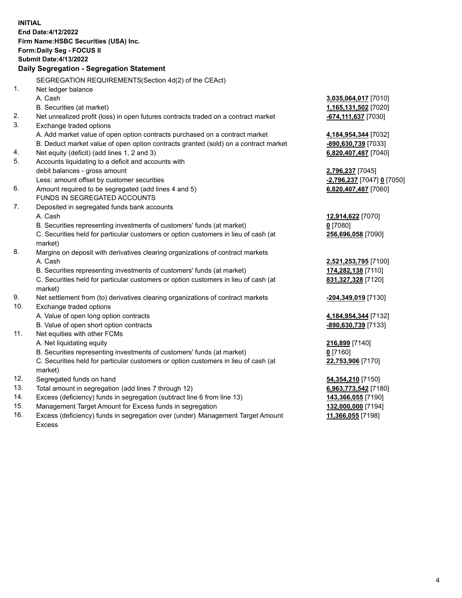**INITIAL End Date:4/12/2022 Firm Name:HSBC Securities (USA) Inc. Form:Daily Seg - FOCUS II Submit Date:4/13/2022 Daily Segregation - Segregation Statement** SEGREGATION REQUIREMENTS(Section 4d(2) of the CEAct) 1. Net ledger balance A. Cash **3,035,064,017** [7010] B. Securities (at market) **1,165,131,502** [7020] 2. Net unrealized profit (loss) in open futures contracts traded on a contract market **-674,111,637** [7030] 3. Exchange traded options A. Add market value of open option contracts purchased on a contract market **4,184,954,344** [7032] B. Deduct market value of open option contracts granted (sold) on a contract market **-890,630,739** [7033] 4. Net equity (deficit) (add lines 1, 2 and 3) **6,820,407,487** [7040] 5. Accounts liquidating to a deficit and accounts with debit balances - gross amount **2,796,237** [7045] Less: amount offset by customer securities **-2,796,237** [7047] **0** [7050] 6. Amount required to be segregated (add lines 4 and 5) **6,820,407,487** [7060] FUNDS IN SEGREGATED ACCOUNTS 7. Deposited in segregated funds bank accounts A. Cash **12,914,622** [7070] B. Securities representing investments of customers' funds (at market) **0** [7080] C. Securities held for particular customers or option customers in lieu of cash (at market) **256,696,058** [7090] 8. Margins on deposit with derivatives clearing organizations of contract markets A. Cash **2,521,253,795** [7100] B. Securities representing investments of customers' funds (at market) **174,282,138** [7110] C. Securities held for particular customers or option customers in lieu of cash (at market) **831,327,328** [7120] 9. Net settlement from (to) derivatives clearing organizations of contract markets **-204,349,019** [7130] 10. Exchange traded options A. Value of open long option contracts **4,184,954,344** [7132] B. Value of open short option contracts **-890,630,739** [7133] 11. Net equities with other FCMs A. Net liquidating equity **216,899** [7140] B. Securities representing investments of customers' funds (at market) **0** [7160] C. Securities held for particular customers or option customers in lieu of cash (at market) **22,753,906** [7170] 12. Segregated funds on hand **54,354,210** [7150] 13. Total amount in segregation (add lines 7 through 12) **6,963,773,542** [7180] 14. Excess (deficiency) funds in segregation (subtract line 6 from line 13) **143,366,055** [7190] 15. Management Target Amount for Excess funds in segregation **132,000,000** [7194]

16. Excess (deficiency) funds in segregation over (under) Management Target Amount Excess

**11,366,055** [7198]